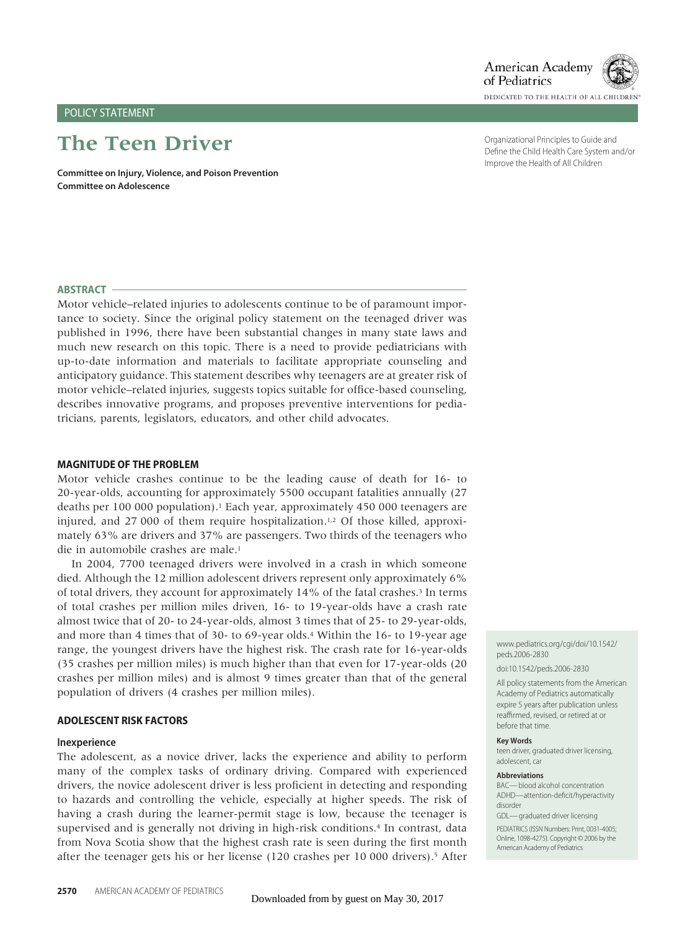# POLICY STATEMENT

# **The Teen Driver**

**Committee on Injury, Violence, and Poison Prevention Committee on Adolescence**

Organizational Principles to Guide and Define the Child Health Care System and/or Improve the Health of All Children

DEDICATED TO THE HEALTH OF ALL CHILDR

American Academy of Pediatrics

# **ABSTRACT**

Motor vehicle–related injuries to adolescents continue to be of paramount importance to society. Since the original policy statement on the teenaged driver was published in 1996, there have been substantial changes in many state laws and much new research on this topic. There is a need to provide pediatricians with up-to-date information and materials to facilitate appropriate counseling and anticipatory guidance. This statement describes why teenagers are at greater risk of motor vehicle–related injuries, suggests topics suitable for office-based counseling, describes innovative programs, and proposes preventive interventions for pediatricians, parents, legislators, educators, and other child advocates.

#### **MAGNITUDE OF THE PROBLEM**

Motor vehicle crashes continue to be the leading cause of death for 16- to 20-year-olds, accounting for approximately 5500 occupant fatalities annually (27 deaths per 100 000 population).<sup>1</sup> Each year, approximately 450 000 teenagers are injured, and 27 000 of them require hospitalization.<sup>1,2</sup> Of those killed, approximately 63% are drivers and 37% are passengers. Two thirds of the teenagers who die in automobile crashes are male.<sup>1</sup>

In 2004, 7700 teenaged drivers were involved in a crash in which someone died. Although the 12 million adolescent drivers represent only approximately 6% of total drivers, they account for approximately 14% of the fatal crashes.<sup>3</sup> In terms of total crashes per million miles driven, 16- to 19-year-olds have a crash rate almost twice that of 20- to 24-year-olds, almost 3 times that of 25- to 29-year-olds, and more than 4 times that of 30- to 69-year olds.4 Within the 16- to 19-year age range, the youngest drivers have the highest risk. The crash rate for 16-year-olds (35 crashes per million miles) is much higher than that even for 17-year-olds (20 crashes per million miles) and is almost 9 times greater than that of the general population of drivers (4 crashes per million miles).

#### **ADOLESCENT RISK FACTORS**

#### **Inexperience**

The adolescent, as a novice driver, lacks the experience and ability to perform many of the complex tasks of ordinary driving. Compared with experienced drivers, the novice adolescent driver is less proficient in detecting and responding to hazards and controlling the vehicle, especially at higher speeds. The risk of having a crash during the learner-permit stage is low, because the teenager is supervised and is generally not driving in high-risk conditions.<sup>4</sup> In contrast, data from Nova Scotia show that the highest crash rate is seen during the first month after the teenager gets his or her license (120 crashes per 10 000 drivers).5 After

www.pediatrics.org/cgi/doi/10.1542/ peds.2006-2830

#### doi:10.1542/peds.2006-2830

All policy statements from the American Academy of Pediatrics automatically expire 5 years after publication unless reaffirmed, revised, or retired at or before that time.

#### **Key Words**

teen driver, graduated driver licensing, adolescent, car

#### **Abbreviations**

BAC—blood alcohol concentration ADHD—attention-deficit/hyperactivity disorder

GDL-araduated driver licensing

PEDIATRICS (ISSN Numbers: Print, 0031-4005; Online, 1098-4275). Copyright © 2006 by the American Academy of Pediatrics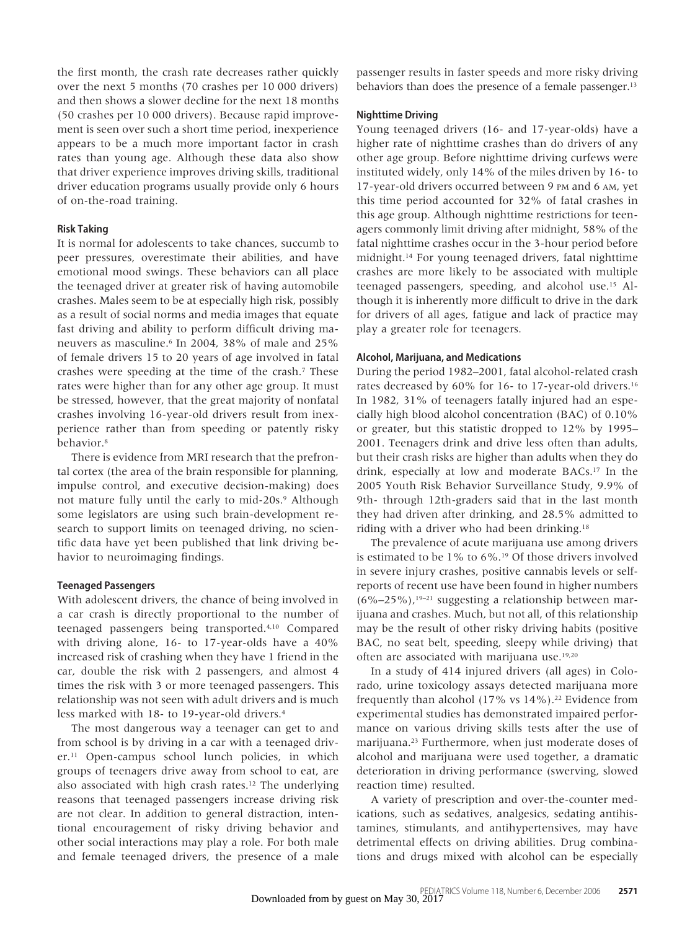the first month, the crash rate decreases rather quickly over the next 5 months (70 crashes per 10 000 drivers) and then shows a slower decline for the next 18 months (50 crashes per 10 000 drivers). Because rapid improvement is seen over such a short time period, inexperience appears to be a much more important factor in crash rates than young age. Although these data also show that driver experience improves driving skills, traditional driver education programs usually provide only 6 hours of on-the-road training.

# **Risk Taking**

It is normal for adolescents to take chances, succumb to peer pressures, overestimate their abilities, and have emotional mood swings. These behaviors can all place the teenaged driver at greater risk of having automobile crashes. Males seem to be at especially high risk, possibly as a result of social norms and media images that equate fast driving and ability to perform difficult driving maneuvers as masculine.<sup>6</sup> In 2004, 38% of male and 25% of female drivers 15 to 20 years of age involved in fatal crashes were speeding at the time of the crash.7 These rates were higher than for any other age group. It must be stressed, however, that the great majority of nonfatal crashes involving 16-year-old drivers result from inexperience rather than from speeding or patently risky behavior.8

There is evidence from MRI research that the prefrontal cortex (the area of the brain responsible for planning, impulse control, and executive decision-making) does not mature fully until the early to mid-20s.<sup>9</sup> Although some legislators are using such brain-development research to support limits on teenaged driving, no scientific data have yet been published that link driving behavior to neuroimaging findings.

### **Teenaged Passengers**

With adolescent drivers, the chance of being involved in a car crash is directly proportional to the number of teenaged passengers being transported.4,10 Compared with driving alone, 16- to 17-year-olds have a 40% increased risk of crashing when they have 1 friend in the car, double the risk with 2 passengers, and almost 4 times the risk with 3 or more teenaged passengers. This relationship was not seen with adult drivers and is much less marked with 18- to 19-year-old drivers.4

The most dangerous way a teenager can get to and from school is by driving in a car with a teenaged driver.11 Open-campus school lunch policies, in which groups of teenagers drive away from school to eat, are also associated with high crash rates.12 The underlying reasons that teenaged passengers increase driving risk are not clear. In addition to general distraction, intentional encouragement of risky driving behavior and other social interactions may play a role. For both male and female teenaged drivers, the presence of a male

passenger results in faster speeds and more risky driving behaviors than does the presence of a female passenger.<sup>13</sup>

# **Nighttime Driving**

Young teenaged drivers (16- and 17-year-olds) have a higher rate of nighttime crashes than do drivers of any other age group. Before nighttime driving curfews were instituted widely, only 14% of the miles driven by 16- to 17-year-old drivers occurred between 9 PM and 6 AM, yet this time period accounted for 32% of fatal crashes in this age group. Although nighttime restrictions for teenagers commonly limit driving after midnight, 58% of the fatal nighttime crashes occur in the 3-hour period before midnight.14 For young teenaged drivers, fatal nighttime crashes are more likely to be associated with multiple teenaged passengers, speeding, and alcohol use.15 Although it is inherently more difficult to drive in the dark for drivers of all ages, fatigue and lack of practice may play a greater role for teenagers.

# **Alcohol, Marijuana, and Medications**

During the period 1982–2001, fatal alcohol-related crash rates decreased by 60% for 16- to 17-year-old drivers.<sup>16</sup> In 1982, 31% of teenagers fatally injured had an especially high blood alcohol concentration (BAC) of 0.10% or greater, but this statistic dropped to 12% by 1995– 2001. Teenagers drink and drive less often than adults, but their crash risks are higher than adults when they do drink, especially at low and moderate BACs.17 In the 2005 Youth Risk Behavior Surveillance Study, 9.9% of 9th- through 12th-graders said that in the last month they had driven after drinking, and 28.5% admitted to riding with a driver who had been drinking.18

The prevalence of acute marijuana use among drivers is estimated to be 1% to 6%.19 Of those drivers involved in severe injury crashes, positive cannabis levels or selfreports of recent use have been found in higher numbers  $(6\% - 25\%)$ , <sup>19–21</sup> suggesting a relationship between marijuana and crashes. Much, but not all, of this relationship may be the result of other risky driving habits (positive BAC, no seat belt, speeding, sleepy while driving) that often are associated with marijuana use.19,20

In a study of 414 injured drivers (all ages) in Colorado, urine toxicology assays detected marijuana more frequently than alcohol  $(17\% \text{ vs } 14\%)$ .<sup>22</sup> Evidence from experimental studies has demonstrated impaired performance on various driving skills tests after the use of marijuana.23 Furthermore, when just moderate doses of alcohol and marijuana were used together, a dramatic deterioration in driving performance (swerving, slowed reaction time) resulted.

A variety of prescription and over-the-counter medications, such as sedatives, analgesics, sedating antihistamines, stimulants, and antihypertensives, may have detrimental effects on driving abilities. Drug combinations and drugs mixed with alcohol can be especially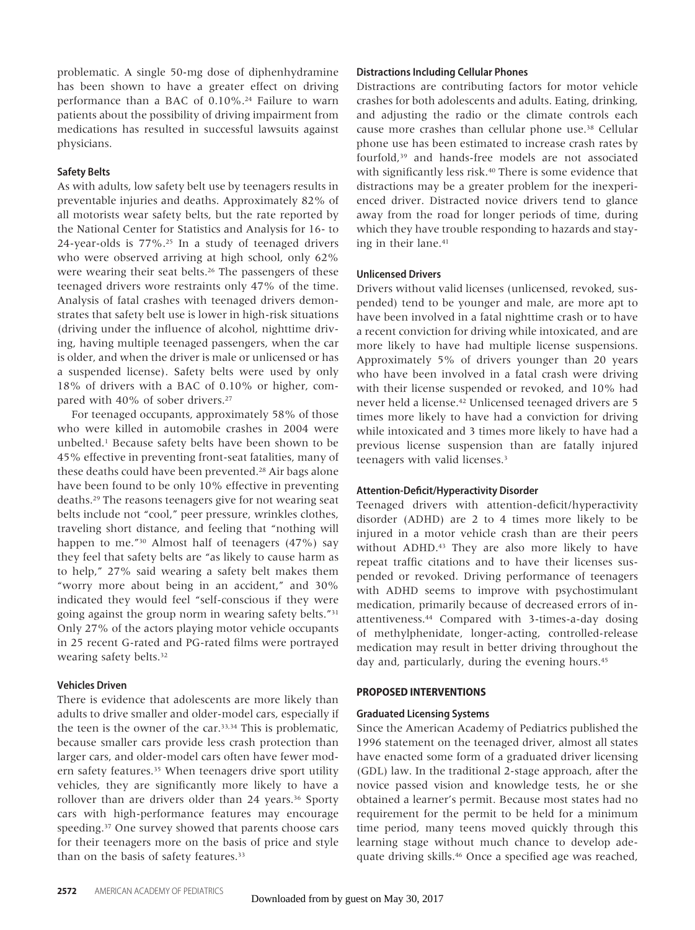problematic. A single 50-mg dose of diphenhydramine has been shown to have a greater effect on driving performance than a BAC of 0.10%.<sup>24</sup> Failure to warn patients about the possibility of driving impairment from medications has resulted in successful lawsuits against physicians.

# **Safety Belts**

As with adults, low safety belt use by teenagers results in preventable injuries and deaths. Approximately 82% of all motorists wear safety belts, but the rate reported by the National Center for Statistics and Analysis for 16- to 24-year-olds is 77%.25 In a study of teenaged drivers who were observed arriving at high school, only 62% were wearing their seat belts.<sup>26</sup> The passengers of these teenaged drivers wore restraints only 47% of the time. Analysis of fatal crashes with teenaged drivers demonstrates that safety belt use is lower in high-risk situations (driving under the influence of alcohol, nighttime driving, having multiple teenaged passengers, when the car is older, and when the driver is male or unlicensed or has a suspended license). Safety belts were used by only 18% of drivers with a BAC of 0.10% or higher, compared with 40% of sober drivers.<sup>27</sup>

For teenaged occupants, approximately 58% of those who were killed in automobile crashes in 2004 were unbelted.1 Because safety belts have been shown to be 45% effective in preventing front-seat fatalities, many of these deaths could have been prevented.<sup>28</sup> Air bags alone have been found to be only 10% effective in preventing deaths.29 The reasons teenagers give for not wearing seat belts include not "cool," peer pressure, wrinkles clothes, traveling short distance, and feeling that "nothing will happen to me."30 Almost half of teenagers (47%) say they feel that safety belts are "as likely to cause harm as to help," 27% said wearing a safety belt makes them "worry more about being in an accident," and 30% indicated they would feel "self-conscious if they were going against the group norm in wearing safety belts."31 Only 27% of the actors playing motor vehicle occupants in 25 recent G-rated and PG-rated films were portrayed wearing safety belts.32

# **Vehicles Driven**

There is evidence that adolescents are more likely than adults to drive smaller and older-model cars, especially if the teen is the owner of the car.33,34 This is problematic, because smaller cars provide less crash protection than larger cars, and older-model cars often have fewer modern safety features.35 When teenagers drive sport utility vehicles, they are significantly more likely to have a rollover than are drivers older than 24 years.<sup>36</sup> Sporty cars with high-performance features may encourage speeding.<sup>37</sup> One survey showed that parents choose cars for their teenagers more on the basis of price and style than on the basis of safety features.<sup>33</sup>

# **Distractions Including Cellular Phones**

Distractions are contributing factors for motor vehicle crashes for both adolescents and adults. Eating, drinking, and adjusting the radio or the climate controls each cause more crashes than cellular phone use.<sup>38</sup> Cellular phone use has been estimated to increase crash rates by fourfold,39 and hands-free models are not associated with significantly less risk.<sup>40</sup> There is some evidence that distractions may be a greater problem for the inexperienced driver. Distracted novice drivers tend to glance away from the road for longer periods of time, during which they have trouble responding to hazards and staying in their lane.41

# **Unlicensed Drivers**

Drivers without valid licenses (unlicensed, revoked, suspended) tend to be younger and male, are more apt to have been involved in a fatal nighttime crash or to have a recent conviction for driving while intoxicated, and are more likely to have had multiple license suspensions. Approximately 5% of drivers younger than 20 years who have been involved in a fatal crash were driving with their license suspended or revoked, and 10% had never held a license.42 Unlicensed teenaged drivers are 5 times more likely to have had a conviction for driving while intoxicated and 3 times more likely to have had a previous license suspension than are fatally injured teenagers with valid licenses.3

# **Attention-Deficit/Hyperactivity Disorder**

Teenaged drivers with attention-deficit/hyperactivity disorder (ADHD) are 2 to 4 times more likely to be injured in a motor vehicle crash than are their peers without ADHD.<sup>43</sup> They are also more likely to have repeat traffic citations and to have their licenses suspended or revoked. Driving performance of teenagers with ADHD seems to improve with psychostimulant medication, primarily because of decreased errors of inattentiveness.44 Compared with 3-times-a-day dosing of methylphenidate, longer-acting, controlled-release medication may result in better driving throughout the day and, particularly, during the evening hours.<sup>45</sup>

# **PROPOSED INTERVENTIONS**

# **Graduated Licensing Systems**

Since the American Academy of Pediatrics published the 1996 statement on the teenaged driver, almost all states have enacted some form of a graduated driver licensing (GDL) law. In the traditional 2-stage approach, after the novice passed vision and knowledge tests, he or she obtained a learner's permit. Because most states had no requirement for the permit to be held for a minimum time period, many teens moved quickly through this learning stage without much chance to develop adequate driving skills.46 Once a specified age was reached,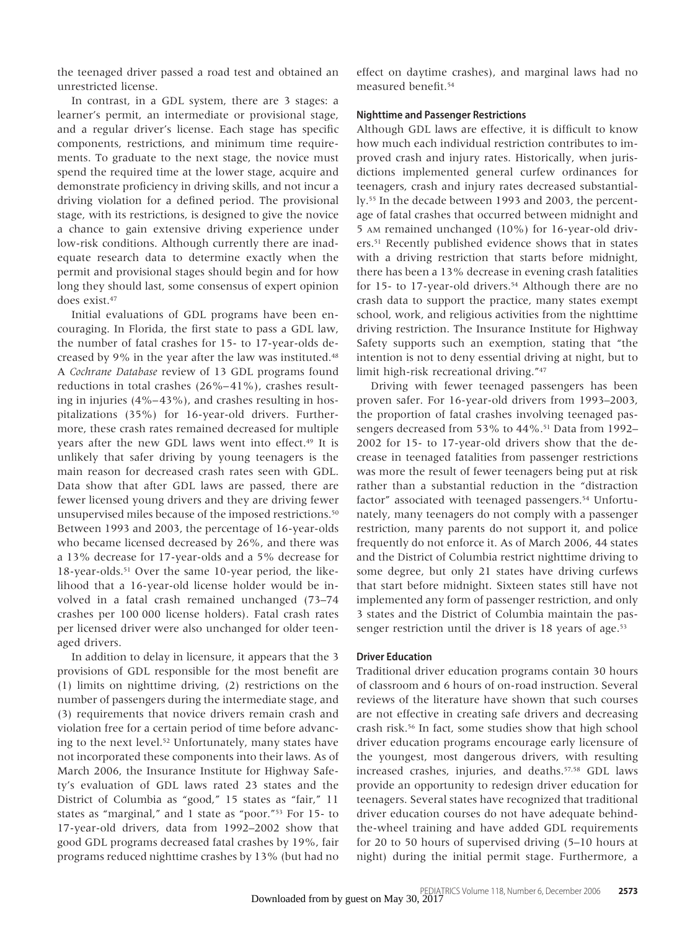the teenaged driver passed a road test and obtained an unrestricted license.

In contrast, in a GDL system, there are 3 stages: a learner's permit, an intermediate or provisional stage, and a regular driver's license. Each stage has specific components, restrictions, and minimum time requirements. To graduate to the next stage, the novice must spend the required time at the lower stage, acquire and demonstrate proficiency in driving skills, and not incur a driving violation for a defined period. The provisional stage, with its restrictions, is designed to give the novice a chance to gain extensive driving experience under low-risk conditions. Although currently there are inadequate research data to determine exactly when the permit and provisional stages should begin and for how long they should last, some consensus of expert opinion does exist.47

Initial evaluations of GDL programs have been encouraging. In Florida, the first state to pass a GDL law, the number of fatal crashes for 15- to 17-year-olds decreased by 9% in the year after the law was instituted.<sup>48</sup> A *Cochrane Database* review of 13 GDL programs found reductions in total crashes (26%–41%), crashes resulting in injuries (4%–43%), and crashes resulting in hospitalizations (35%) for 16-year-old drivers. Furthermore, these crash rates remained decreased for multiple years after the new GDL laws went into effect.49 It is unlikely that safer driving by young teenagers is the main reason for decreased crash rates seen with GDL. Data show that after GDL laws are passed, there are fewer licensed young drivers and they are driving fewer unsupervised miles because of the imposed restrictions.50 Between 1993 and 2003, the percentage of 16-year-olds who became licensed decreased by 26%, and there was a 13% decrease for 17-year-olds and a 5% decrease for 18-year-olds.51 Over the same 10-year period, the likelihood that a 16-year-old license holder would be involved in a fatal crash remained unchanged (73–74 crashes per 100 000 license holders). Fatal crash rates per licensed driver were also unchanged for older teenaged drivers.

In addition to delay in licensure, it appears that the 3 provisions of GDL responsible for the most benefit are (1) limits on nighttime driving, (2) restrictions on the number of passengers during the intermediate stage, and (3) requirements that novice drivers remain crash and violation free for a certain period of time before advancing to the next level.<sup>52</sup> Unfortunately, many states have not incorporated these components into their laws. As of March 2006, the Insurance Institute for Highway Safety's evaluation of GDL laws rated 23 states and the District of Columbia as "good," 15 states as "fair," 11 states as "marginal," and 1 state as "poor."53 For 15- to 17-year-old drivers, data from 1992–2002 show that good GDL programs decreased fatal crashes by 19%, fair programs reduced nighttime crashes by 13% (but had no effect on daytime crashes), and marginal laws had no measured benefit.54

# **Nighttime and Passenger Restrictions**

Although GDL laws are effective, it is difficult to know how much each individual restriction contributes to improved crash and injury rates. Historically, when jurisdictions implemented general curfew ordinances for teenagers, crash and injury rates decreased substantially.55 In the decade between 1993 and 2003, the percentage of fatal crashes that occurred between midnight and 5 AM remained unchanged (10%) for 16-year-old drivers.51 Recently published evidence shows that in states with a driving restriction that starts before midnight, there has been a 13% decrease in evening crash fatalities for 15- to 17-year-old drivers.<sup>54</sup> Although there are no crash data to support the practice, many states exempt school, work, and religious activities from the nighttime driving restriction. The Insurance Institute for Highway Safety supports such an exemption, stating that "the intention is not to deny essential driving at night, but to limit high-risk recreational driving."47

Driving with fewer teenaged passengers has been proven safer. For 16-year-old drivers from 1993–2003, the proportion of fatal crashes involving teenaged passengers decreased from 53% to 44%.<sup>51</sup> Data from 1992-2002 for 15- to 17-year-old drivers show that the decrease in teenaged fatalities from passenger restrictions was more the result of fewer teenagers being put at risk rather than a substantial reduction in the "distraction factor" associated with teenaged passengers.<sup>54</sup> Unfortunately, many teenagers do not comply with a passenger restriction, many parents do not support it, and police frequently do not enforce it. As of March 2006, 44 states and the District of Columbia restrict nighttime driving to some degree, but only 21 states have driving curfews that start before midnight. Sixteen states still have not implemented any form of passenger restriction, and only 3 states and the District of Columbia maintain the passenger restriction until the driver is 18 years of age.<sup>53</sup>

#### **Driver Education**

Traditional driver education programs contain 30 hours of classroom and 6 hours of on-road instruction. Several reviews of the literature have shown that such courses are not effective in creating safe drivers and decreasing crash risk.56 In fact, some studies show that high school driver education programs encourage early licensure of the youngest, most dangerous drivers, with resulting increased crashes, injuries, and deaths.57,58 GDL laws provide an opportunity to redesign driver education for teenagers. Several states have recognized that traditional driver education courses do not have adequate behindthe-wheel training and have added GDL requirements for 20 to 50 hours of supervised driving (5–10 hours at night) during the initial permit stage. Furthermore, a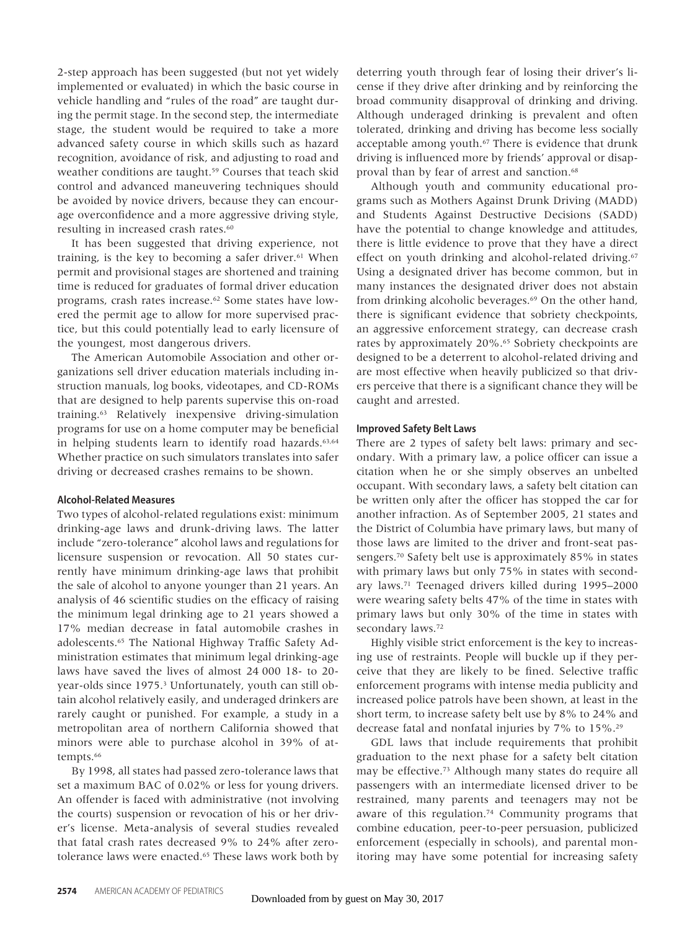2-step approach has been suggested (but not yet widely implemented or evaluated) in which the basic course in vehicle handling and "rules of the road" are taught during the permit stage. In the second step, the intermediate stage, the student would be required to take a more advanced safety course in which skills such as hazard recognition, avoidance of risk, and adjusting to road and weather conditions are taught.<sup>59</sup> Courses that teach skid control and advanced maneuvering techniques should be avoided by novice drivers, because they can encourage overconfidence and a more aggressive driving style, resulting in increased crash rates.<sup>60</sup>

It has been suggested that driving experience, not training, is the key to becoming a safer driver. $61$  When permit and provisional stages are shortened and training time is reduced for graduates of formal driver education programs, crash rates increase.62 Some states have lowered the permit age to allow for more supervised practice, but this could potentially lead to early licensure of the youngest, most dangerous drivers.

The American Automobile Association and other organizations sell driver education materials including instruction manuals, log books, videotapes, and CD-ROMs that are designed to help parents supervise this on-road training.63 Relatively inexpensive driving-simulation programs for use on a home computer may be beneficial in helping students learn to identify road hazards.<sup>63,64</sup> Whether practice on such simulators translates into safer driving or decreased crashes remains to be shown.

### **Alcohol-Related Measures**

Two types of alcohol-related regulations exist: minimum drinking-age laws and drunk-driving laws. The latter include "zero-tolerance" alcohol laws and regulations for licensure suspension or revocation. All 50 states currently have minimum drinking-age laws that prohibit the sale of alcohol to anyone younger than 21 years. An analysis of 46 scientific studies on the efficacy of raising the minimum legal drinking age to 21 years showed a 17% median decrease in fatal automobile crashes in adolescents.65 The National Highway Traffic Safety Administration estimates that minimum legal drinking-age laws have saved the lives of almost 24 000 18- to 20 year-olds since 1975.<sup>3</sup> Unfortunately, youth can still obtain alcohol relatively easily, and underaged drinkers are rarely caught or punished. For example, a study in a metropolitan area of northern California showed that minors were able to purchase alcohol in 39% of attempts.<sup>66</sup>

By 1998, all states had passed zero-tolerance laws that set a maximum BAC of 0.02% or less for young drivers. An offender is faced with administrative (not involving the courts) suspension or revocation of his or her driver's license. Meta-analysis of several studies revealed that fatal crash rates decreased 9% to 24% after zerotolerance laws were enacted.<sup>65</sup> These laws work both by deterring youth through fear of losing their driver's license if they drive after drinking and by reinforcing the broad community disapproval of drinking and driving. Although underaged drinking is prevalent and often tolerated, drinking and driving has become less socially acceptable among youth.<sup>67</sup> There is evidence that drunk driving is influenced more by friends' approval or disapproval than by fear of arrest and sanction.<sup>68</sup>

Although youth and community educational programs such as Mothers Against Drunk Driving (MADD) and Students Against Destructive Decisions (SADD) have the potential to change knowledge and attitudes, there is little evidence to prove that they have a direct effect on youth drinking and alcohol-related driving.<sup>67</sup> Using a designated driver has become common, but in many instances the designated driver does not abstain from drinking alcoholic beverages.<sup>69</sup> On the other hand, there is significant evidence that sobriety checkpoints, an aggressive enforcement strategy, can decrease crash rates by approximately 20%.<sup>65</sup> Sobriety checkpoints are designed to be a deterrent to alcohol-related driving and are most effective when heavily publicized so that drivers perceive that there is a significant chance they will be caught and arrested.

# **Improved Safety Belt Laws**

There are 2 types of safety belt laws: primary and secondary. With a primary law, a police officer can issue a citation when he or she simply observes an unbelted occupant. With secondary laws, a safety belt citation can be written only after the officer has stopped the car for another infraction. As of September 2005, 21 states and the District of Columbia have primary laws, but many of those laws are limited to the driver and front-seat passengers.70 Safety belt use is approximately 85% in states with primary laws but only 75% in states with secondary laws.71 Teenaged drivers killed during 1995–2000 were wearing safety belts 47% of the time in states with primary laws but only 30% of the time in states with secondary laws.72

Highly visible strict enforcement is the key to increasing use of restraints. People will buckle up if they perceive that they are likely to be fined. Selective traffic enforcement programs with intense media publicity and increased police patrols have been shown, at least in the short term, to increase safety belt use by 8% to 24% and decrease fatal and nonfatal injuries by 7% to 15%.29

GDL laws that include requirements that prohibit graduation to the next phase for a safety belt citation may be effective.73 Although many states do require all passengers with an intermediate licensed driver to be restrained, many parents and teenagers may not be aware of this regulation.74 Community programs that combine education, peer-to-peer persuasion, publicized enforcement (especially in schools), and parental monitoring may have some potential for increasing safety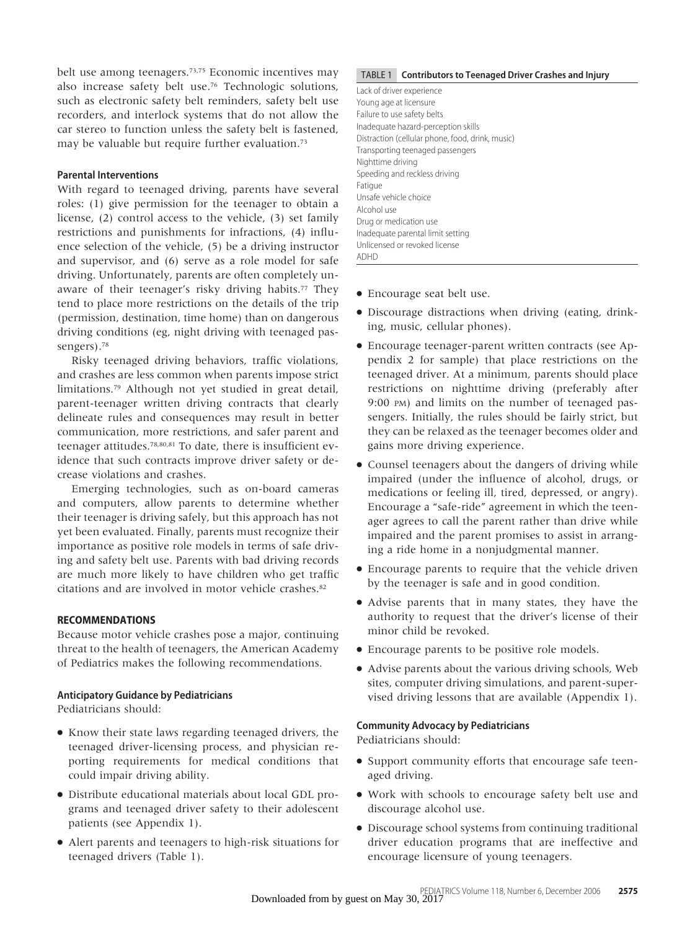belt use among teenagers.73,75 Economic incentives may also increase safety belt use.76 Technologic solutions, such as electronic safety belt reminders, safety belt use recorders, and interlock systems that do not allow the car stereo to function unless the safety belt is fastened, may be valuable but require further evaluation.73

# **Parental Interventions**

With regard to teenaged driving, parents have several roles: (1) give permission for the teenager to obtain a license, (2) control access to the vehicle, (3) set family restrictions and punishments for infractions, (4) influence selection of the vehicle, (5) be a driving instructor and supervisor, and (6) serve as a role model for safe driving. Unfortunately, parents are often completely unaware of their teenager's risky driving habits.<sup>77</sup> They tend to place more restrictions on the details of the trip (permission, destination, time home) than on dangerous driving conditions (eg, night driving with teenaged passengers).78

Risky teenaged driving behaviors, traffic violations, and crashes are less common when parents impose strict limitations.79 Although not yet studied in great detail, parent-teenager written driving contracts that clearly delineate rules and consequences may result in better communication, more restrictions, and safer parent and teenager attitudes.78,80,81 To date, there is insufficient evidence that such contracts improve driver safety or decrease violations and crashes.

Emerging technologies, such as on-board cameras and computers, allow parents to determine whether their teenager is driving safely, but this approach has not yet been evaluated. Finally, parents must recognize their importance as positive role models in terms of safe driving and safety belt use. Parents with bad driving records are much more likely to have children who get traffic citations and are involved in motor vehicle crashes.82

# **RECOMMENDATIONS**

Because motor vehicle crashes pose a major, continuing threat to the health of teenagers, the American Academy of Pediatrics makes the following recommendations.

# **Anticipatory Guidance by Pediatricians**

Pediatricians should:

- Know their state laws regarding teenaged drivers, the teenaged driver-licensing process, and physician reporting requirements for medical conditions that could impair driving ability.
- Distribute educational materials about local GDL programs and teenaged driver safety to their adolescent patients (see Appendix 1).
- Alert parents and teenagers to high-risk situations for teenaged drivers (Table 1).

# TABLE 1 **Contributors to Teenaged Driver Crashes and Injury**

Lack of driver experience Young age at licensure Failure to use safety belts Inadequate hazard-perception skills Distraction (cellular phone, food, drink, music) Transporting teenaged passengers Nighttime driving Speeding and reckless driving Fatigue Unsafe vehicle choice Alcohol use Drug or medication use Inadequate parental limit setting Unlicensed or revoked license ADHD

- Encourage seat belt use.
- Discourage distractions when driving (eating, drinking, music, cellular phones).
- Encourage teenager-parent written contracts (see Appendix 2 for sample) that place restrictions on the teenaged driver. At a minimum, parents should place restrictions on nighttime driving (preferably after 9:00 PM) and limits on the number of teenaged passengers. Initially, the rules should be fairly strict, but they can be relaxed as the teenager becomes older and gains more driving experience.
- Counsel teenagers about the dangers of driving while impaired (under the influence of alcohol, drugs, or medications or feeling ill, tired, depressed, or angry). Encourage a "safe-ride" agreement in which the teenager agrees to call the parent rather than drive while impaired and the parent promises to assist in arranging a ride home in a nonjudgmental manner.
- Encourage parents to require that the vehicle driven by the teenager is safe and in good condition.
- Advise parents that in many states, they have the authority to request that the driver's license of their minor child be revoked.
- Encourage parents to be positive role models.
- Advise parents about the various driving schools, Web sites, computer driving simulations, and parent-supervised driving lessons that are available (Appendix 1).

# **Community Advocacy by Pediatricians**

Pediatricians should:

- Support community efforts that encourage safe teenaged driving.
- Work with schools to encourage safety belt use and discourage alcohol use.
- Discourage school systems from continuing traditional driver education programs that are ineffective and encourage licensure of young teenagers.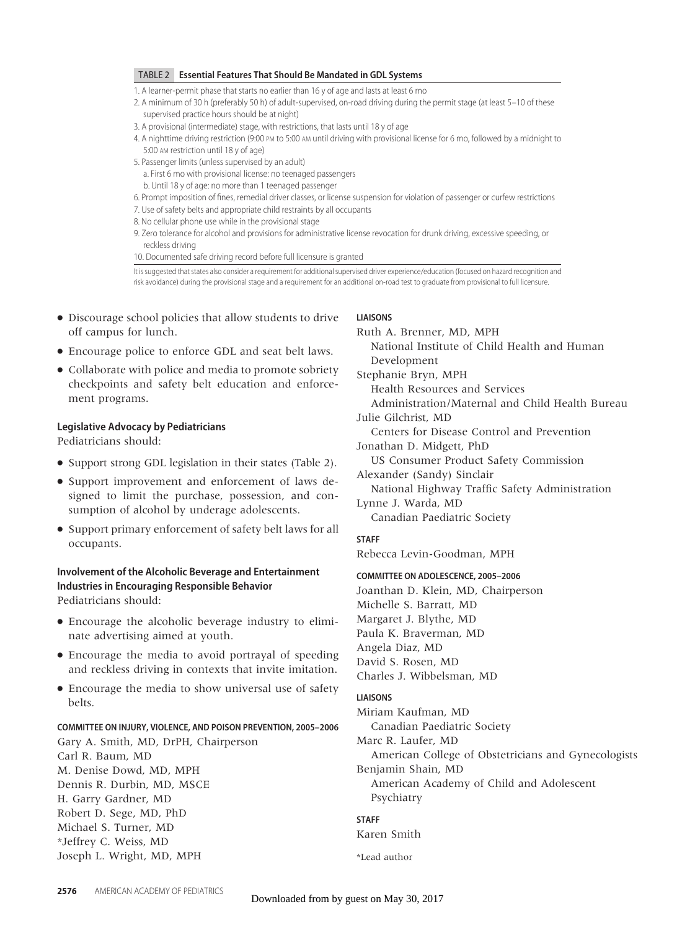# TABLE 2 **Essential Features That Should Be Mandated in GDL Systems**

- 1. A learner-permit phase that starts no earlier than 16 y of age and lasts at least 6 mo
- 2. A minimum of 30 h (preferably 50 h) of adult-supervised, on-road driving during the permit stage (at least 5–10 of these supervised practice hours should be at night)
- 3. A provisional (intermediate) stage, with restrictions, that lasts until 18 y of age
- 4. A nighttime driving restriction (9:00 PM to 5:00 AM until driving with provisional license for 6 mo, followed by a midnight to 5:00 AM restriction until 18 y of age)
- 5. Passenger limits (unless supervised by an adult)
	- a. First 6 mo with provisional license: no teenaged passengers
	- b. Until 18 y of age: no more than 1 teenaged passenger
- 6. Prompt imposition of fines, remedial driver classes, or license suspension for violation of passenger or curfew restrictions
- 7. Use of safety belts and appropriate child restraints by all occupants
- 8. No cellular phone use while in the provisional stage
- 9. Zero tolerance for alcohol and provisions for administrative license revocation for drunk driving, excessive speeding, or reckless driving

10. Documented safe driving record before full licensure is granted

It is suggested that states also consider a requirement for additional supervised driver experience/education (focused on hazard recognition and risk avoidance) during the provisional stage and a requirement for an additional on-road test to graduate from provisional to full licensure.

- Discourage school policies that allow students to drive off campus for lunch.
- Encourage police to enforce GDL and seat belt laws.
- Collaborate with police and media to promote sobriety checkpoints and safety belt education and enforcement programs.

# **Legislative Advocacy by Pediatricians**

Pediatricians should:

- Support strong GDL legislation in their states (Table 2).
- Support improvement and enforcement of laws designed to limit the purchase, possession, and consumption of alcohol by underage adolescents.
- Support primary enforcement of safety belt laws for all occupants.

# **Involvement of the Alcoholic Beverage and Entertainment Industries in Encouraging Responsible Behavior** Pediatricians should:

- Encourage the alcoholic beverage industry to eliminate advertising aimed at youth.
- Encourage the media to avoid portrayal of speeding and reckless driving in contexts that invite imitation.
- Encourage the media to show universal use of safety belts.

# **COMMITTEE ON INJURY, VIOLENCE, AND POISON PREVENTION, 2005–2006**

Gary A. Smith, MD, DrPH, Chairperson Carl R. Baum, MD M. Denise Dowd, MD, MPH Dennis R. Durbin, MD, MSCE H. Garry Gardner, MD Robert D. Sege, MD, PhD Michael S. Turner, MD \*Jeffrey C. Weiss, MD Joseph L. Wright, MD, MPH

# **LIAISONS**

Ruth A. Brenner, MD, MPH National Institute of Child Health and Human Development Stephanie Bryn, MPH Health Resources and Services Administration/Maternal and Child Health Bureau Julie Gilchrist, MD Centers for Disease Control and Prevention Jonathan D. Midgett, PhD US Consumer Product Safety Commission Alexander (Sandy) Sinclair National Highway Traffic Safety Administration Lynne J. Warda, MD Canadian Paediatric Society **STAFF** Rebecca Levin-Goodman, MPH **COMMITTEE ON ADOLESCENCE, 2005–2006**

Joanthan D. Klein, MD, Chairperson Michelle S. Barratt, MD Margaret J. Blythe, MD Paula K. Braverman, MD Angela Diaz, MD David S. Rosen, MD Charles J. Wibbelsman, MD

# **LIAISONS**

Miriam Kaufman, MD Canadian Paediatric Society

Marc R. Laufer, MD

American College of Obstetricians and Gynecologists Benjamin Shain, MD

American Academy of Child and Adolescent Psychiatry

# **STAFF**

Karen Smith

\*Lead author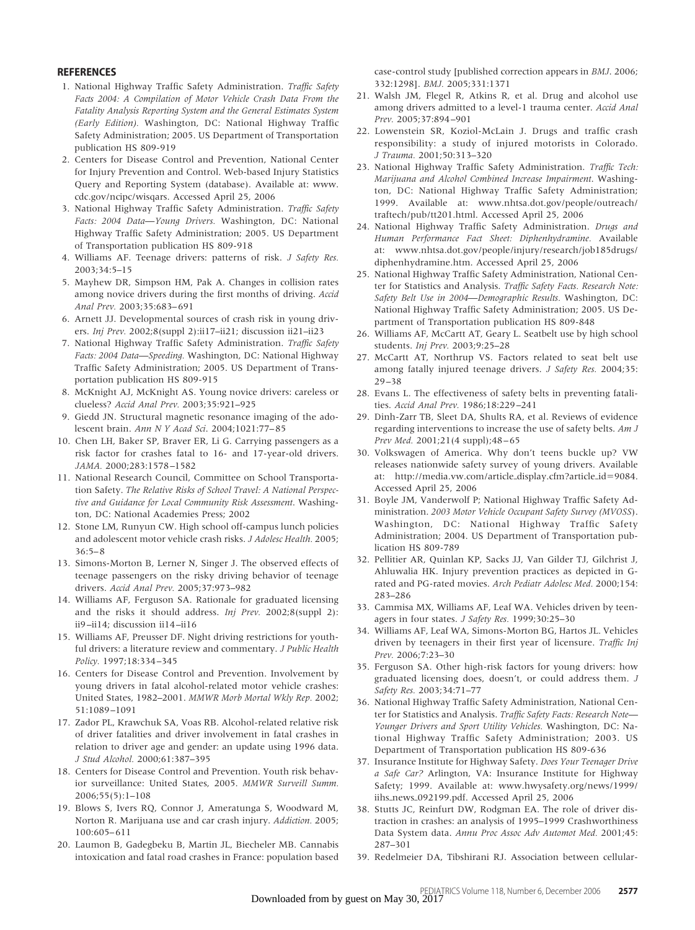# **REFERENCES**

- 1. National Highway Traffic Safety Administration. *Traffic Safety Facts 2004: A Compilation of Motor Vehicle Crash Data From the Fatality Analysis Reporting System and the General Estimates System (Early Edition).* Washington, DC: National Highway Traffic Safety Administration; 2005. US Department of Transportation publication HS 809-919
- 2. Centers for Disease Control and Prevention, National Center for Injury Prevention and Control. Web-based Injury Statistics Query and Reporting System (database). Available at: www. cdc.gov/ncipc/wisqars. Accessed April 25, 2006
- 3. National Highway Traffic Safety Administration. *Traffic Safety Facts: 2004 Data*—*Young Drivers.* Washington, DC: National Highway Traffic Safety Administration; 2005. US Department of Transportation publication HS 809-918
- 4. Williams AF. Teenage drivers: patterns of risk. *J Safety Res.* 2003;34:5–15
- 5. Mayhew DR, Simpson HM, Pak A. Changes in collision rates among novice drivers during the first months of driving. *Accid Anal Prev.* 2003;35:683–691
- 6. Arnett JJ. Developmental sources of crash risk in young drivers. *Inj Prev.* 2002;8(suppl 2):ii17–ii21; discussion ii21–ii23
- 7. National Highway Traffic Safety Administration. *Traffic Safety Facts: 2004 Data*—*Speeding.* Washington, DC: National Highway Traffic Safety Administration; 2005. US Department of Transportation publication HS 809-915
- 8. McKnight AJ, McKnight AS. Young novice drivers: careless or clueless? *Accid Anal Prev.* 2003;35:921–925
- 9. Giedd JN. Structural magnetic resonance imaging of the adolescent brain. *Ann N Y Acad Sci*. 2004;1021:77–85
- 10. Chen LH, Baker SP, Braver ER, Li G. Carrying passengers as a risk factor for crashes fatal to 16- and 17-year-old drivers. *JAMA.* 2000;283:1578–1582
- 11. National Research Council, Committee on School Transportation Safety. *The Relative Risks of School Travel: A National Perspective and Guidance for Local Community Risk Assessment*. Washington, DC: National Academies Press; 2002
- 12. Stone LM, Runyun CW. High school off-campus lunch policies and adolescent motor vehicle crash risks. *J Adolesc Health.* 2005; 36:5–8
- 13. Simons-Morton B, Lerner N, Singer J. The observed effects of teenage passengers on the risky driving behavior of teenage drivers. *Accid Anal Prev.* 2005;37:973–982
- 14. Williams AF, Ferguson SA. Rationale for graduated licensing and the risks it should address. *Inj Prev.* 2002;8(suppl 2): ii9–ii14; discussion ii14–ii16
- 15. Williams AF, Preusser DF. Night driving restrictions for youthful drivers: a literature review and commentary. *J Public Health Policy.* 1997;18:334–345
- 16. Centers for Disease Control and Prevention. Involvement by young drivers in fatal alcohol-related motor vehicle crashes: United States, 1982–2001. *MMWR Morb Mortal Wkly Rep.* 2002; 51:1089–1091
- 17. Zador PL, Krawchuk SA, Voas RB. Alcohol-related relative risk of driver fatalities and driver involvement in fatal crashes in relation to driver age and gender: an update using 1996 data. *J Stud Alcohol.* 2000;61:387–395
- 18. Centers for Disease Control and Prevention. Youth risk behavior surveillance: United States, 2005. *MMWR Surveill Summ.* 2006;55(5):1–108
- 19. Blows S, Ivers RQ, Connor J, Ameratunga S, Woodward M, Norton R. Marijuana use and car crash injury. *Addiction.* 2005; 100:605–611
- 20. Laumon B, Gadegbeku B, Martin JL, Biecheler MB. Cannabis intoxication and fatal road crashes in France: population based

case-control study [published correction appears in *BMJ*. 2006; 332:1298]. *BMJ.* 2005;331:1371

- 21. Walsh JM, Flegel R, Atkins R, et al. Drug and alcohol use among drivers admitted to a level-1 trauma center. *Accid Anal Prev.* 2005;37:894–901
- 22. Lowenstein SR, Koziol-McLain J. Drugs and traffic crash responsibility: a study of injured motorists in Colorado. *J Trauma.* 2001;50:313–320
- 23. National Highway Traffic Safety Administration. *Traffic Tech: Marijuana and Alcohol Combined Increase Impairment*. Washington, DC: National Highway Traffic Safety Administration; 1999. Available at: www.nhtsa.dot.gov/people/outreach/ traftech/pub/tt201.html. Accessed April 25, 2006
- 24. National Highway Traffic Safety Administration. *Drugs and Human Performance Fact Sheet: Diphenhydramine.* Available at: www.nhtsa.dot.gov/people/injury/research/job185drugs/ diphenhydramine.htm. Accessed April 25, 2006
- 25. National Highway Traffic Safety Administration, National Center for Statistics and Analysis. *Traffic Safety Facts. Research Note: Safety Belt Use in 2004*—*Demographic Results.* Washington, DC: National Highway Traffic Safety Administration; 2005. US Department of Transportation publication HS 809-848
- 26. Williams AF, McCartt AT, Geary L. Seatbelt use by high school students. *Inj Prev.* 2003;9:25–28
- 27. McCartt AT, Northrup VS. Factors related to seat belt use among fatally injured teenage drivers. *J Safety Res.* 2004;35: 29–38
- 28. Evans L. The effectiveness of safety belts in preventing fatalities. *Accid Anal Prev.* 1986;18:229–241
- 29. Dinh-Zarr TB, Sleet DA, Shults RA, et al. Reviews of evidence regarding interventions to increase the use of safety belts. *Am J Prev Med.* 2001;21(4 suppl);48–65
- 30. Volkswagen of America. Why don't teens buckle up? VW releases nationwide safety survey of young drivers. Available at: http://media.vw.com/article\_display.cfm?article\_id=9084. Accessed April 25, 2006
- 31. Boyle JM, Vanderwolf P; National Highway Traffic Safety Administration. *2003 Motor Vehicle Occupant Safety Survey (MVOSS*). Washington, DC: National Highway Traffic Safety Administration; 2004. US Department of Transportation publication HS 809-789
- 32. Pellitier AR, Quinlan KP, Sacks JJ, Van Gilder TJ, Gilchrist J, Ahluwalia HK. Injury prevention practices as depicted in Grated and PG-rated movies. *Arch Pediatr Adolesc Med.* 2000;154: 283–286
- 33. Cammisa MX, Williams AF, Leaf WA. Vehicles driven by teenagers in four states. *J Safety Res.* 1999;30:25–30
- 34. Williams AF, Leaf WA, Simons-Morton BG, Hartos JL. Vehicles driven by teenagers in their first year of licensure. *Traffic Inj Prev.* 2006;7:23–30
- 35. Ferguson SA. Other high-risk factors for young drivers: how graduated licensing does, doesn't, or could address them. *J Safety Res.* 2003;34:71–77
- 36. National Highway Traffic Safety Administration, National Center for Statistics and Analysis. *Traffic Safety Facts: Research Note*— *Younger Drivers and Sport Utility Vehicles.* Washington, DC: National Highway Traffic Safety Administration; 2003. US Department of Transportation publication HS 809-636
- 37. Insurance Institute for Highway Safety. *Does Your Teenager Drive a Safe Car?* Arlington, VA: Insurance Institute for Highway Safety; 1999. Available at: www.hwysafety.org/news/1999/ iihs-news-092199.pdf. Accessed April 25, 2006
- 38. Stutts JC, Reinfurt DW, Rodgman EA. The role of driver distraction in crashes: an analysis of 1995–1999 Crashworthiness Data System data. *Annu Proc Assoc Adv Automot Med.* 2001;45: 287–301
- 39. Redelmeier DA, Tibshirani RJ. Association between cellular-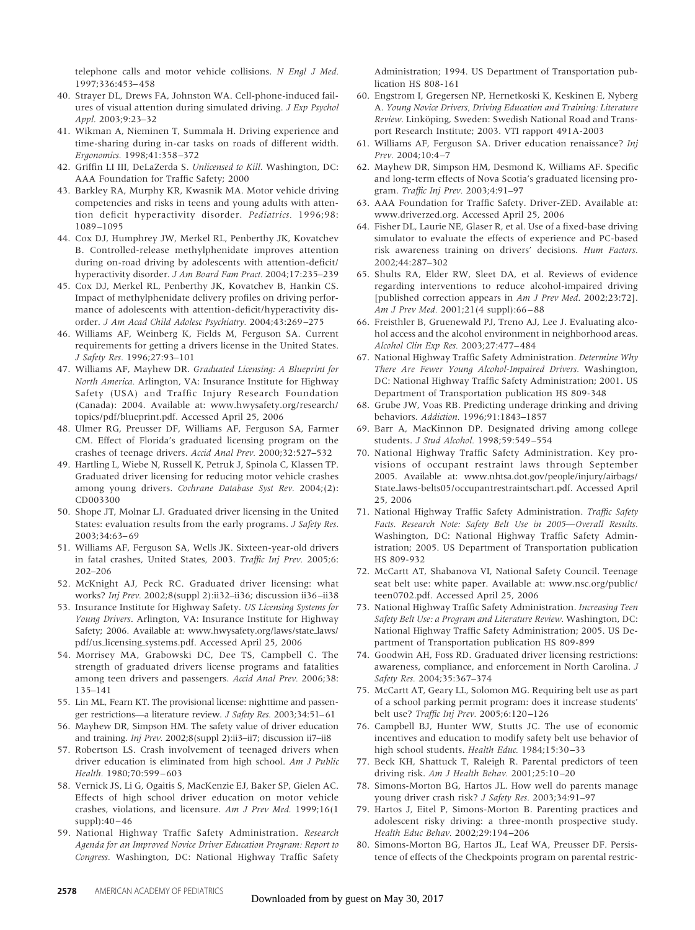telephone calls and motor vehicle collisions. *N Engl J Med.* 1997;336:453–458

- 40. Strayer DL, Drews FA, Johnston WA. Cell-phone-induced failures of visual attention during simulated driving. *J Exp Psychol Appl.* 2003;9:23–32
- 41. Wikman A, Nieminen T, Summala H. Driving experience and time-sharing during in-car tasks on roads of different width. *Ergonomics.* 1998;41:358–372
- 42. Griffin LI III, DeLaZerda S. *Unlicensed to Kill*. Washington, DC: AAA Foundation for Traffic Safety; 2000
- 43. Barkley RA, Murphy KR, Kwasnik MA. Motor vehicle driving competencies and risks in teens and young adults with attention deficit hyperactivity disorder. *Pediatrics.* 1996;98: 1089–1095
- 44. Cox DJ, Humphrey JW, Merkel RL, Penberthy JK, Kovatchev B. Controlled-release methylphenidate improves attention during on-road driving by adolescents with attention-deficit/ hyperactivity disorder. *J Am Board Fam Pract.* 2004;17:235–239
- 45. Cox DJ, Merkel RL, Penberthy JK, Kovatchev B, Hankin CS. Impact of methylphenidate delivery profiles on driving performance of adolescents with attention-deficit/hyperactivity disorder. *J Am Acad Child Adolesc Psychiatry.* 2004;43:269–275
- 46. Williams AF, Weinberg K, Fields M, Ferguson SA. Current requirements for getting a drivers license in the United States. *J Safety Res.* 1996;27:93–101
- 47. Williams AF, Mayhew DR. *Graduated Licensing: A Blueprint for North America.* Arlington, VA: Insurance Institute for Highway Safety (USA) and Traffic Injury Research Foundation (Canada): 2004. Available at: www.hwysafety.org/research/ topics/pdf/blueprint.pdf. Accessed April 25, 2006
- 48. Ulmer RG, Preusser DF, Williams AF, Ferguson SA, Farmer CM. Effect of Florida's graduated licensing program on the crashes of teenage drivers. *Accid Anal Prev.* 2000;32:527–532
- 49. Hartling L, Wiebe N, Russell K, Petruk J, Spinola C, Klassen TP. Graduated driver licensing for reducing motor vehicle crashes among young drivers. *Cochrane Database Syst Rev.* 2004;(2): CD003300
- 50. Shope JT, Molnar LJ. Graduated driver licensing in the United States: evaluation results from the early programs. *J Safety Res.* 2003;34:63–69
- 51. Williams AF, Ferguson SA, Wells JK. Sixteen-year-old drivers in fatal crashes, United States, 2003. *Traffic Inj Prev.* 2005;6: 202–206
- 52. McKnight AJ, Peck RC. Graduated driver licensing: what works? *Inj Prev.* 2002;8(suppl 2):ii32–ii36; discussion ii36–ii38
- 53. Insurance Institute for Highway Safety. *US Licensing Systems for Young Drivers*. Arlington, VA: Insurance Institute for Highway Safety; 2006. Available at: www.hwysafety.org/laws/state\_laws/ pdf/us-licensing-systems.pdf. Accessed April 25, 2006
- 54. Morrisey MA, Grabowski DC, Dee TS, Campbell C. The strength of graduated drivers license programs and fatalities among teen drivers and passengers. *Accid Anal Prev.* 2006;38: 135–141
- 55. Lin ML, Fearn KT. The provisional license: nighttime and passenger restrictions—a literature review. *J Safety Res.* 2003;34:51–61
- 56. Mayhew DR, Simpson HM. The safety value of driver education and training. *Inj Prev.* 2002;8(suppl 2):ii3–ii7; discussion ii7–ii8
- 57. Robertson LS. Crash involvement of teenaged drivers when driver education is eliminated from high school. *Am J Public Health.* 1980;70:599–603
- 58. Vernick JS, Li G, Ogaitis S, MacKenzie EJ, Baker SP, Gielen AC. Effects of high school driver education on motor vehicle crashes, violations, and licensure. *Am J Prev Med.* 1999;16(1 suppl):40–46
- 59. National Highway Traffic Safety Administration. *Research Agenda for an Improved Novice Driver Education Program: Report to Congress.* Washington, DC: National Highway Traffic Safety

Administration; 1994. US Department of Transportation publication HS 808-161

- 60. Engstrom I, Gregersen NP, Hernetkoski K, Keskinen E, Nyberg A. *Young Novice Drivers, Driving Education and Training: Literature Review.* Linköping, Sweden: Swedish National Road and Transport Research Institute; 2003. VTI rapport 491A-2003
- 61. Williams AF, Ferguson SA. Driver education renaissance? *Inj Prev.* 2004;10:4–7
- 62. Mayhew DR, Simpson HM, Desmond K, Williams AF. Specific and long-term effects of Nova Scotia's graduated licensing program. *Traffic Inj Prev.* 2003;4:91–97
- 63. AAA Foundation for Traffic Safety. Driver-ZED. Available at: www.driverzed.org. Accessed April 25, 2006
- 64. Fisher DL, Laurie NE, Glaser R, et al. Use of a fixed-base driving simulator to evaluate the effects of experience and PC-based risk awareness training on drivers' decisions. *Hum Factors.* 2002;44:287–302
- 65. Shults RA, Elder RW, Sleet DA, et al. Reviews of evidence regarding interventions to reduce alcohol-impaired driving [published correction appears in *Am J Prev Med*. 2002;23:72]. *Am J Prev Med.* 2001;21(4 suppl):66–88
- 66. Freisthler B, Gruenewald PJ, Treno AJ, Lee J. Evaluating alcohol access and the alcohol environment in neighborhood areas. *Alcohol Clin Exp Res.* 2003;27:477–484
- 67. National Highway Traffic Safety Administration. *Determine Why There Are Fewer Young Alcohol-Impaired Drivers.* Washington, DC: National Highway Traffic Safety Administration; 2001. US Department of Transportation publication HS 809-348
- 68. Grube JW, Voas RB. Predicting underage drinking and driving behaviors. *Addiction.* 1996;91:1843–1857
- 69. Barr A, MacKinnon DP. Designated driving among college students. *J Stud Alcohol.* 1998;59:549–554
- 70. National Highway Traffic Safety Administration. Key provisions of occupant restraint laws through September 2005. Available at: www.nhtsa.dot.gov/people/injury/airbags/ State-laws-belts05/occupantrestraintschart.pdf. Accessed April 25, 2006
- 71. National Highway Traffic Safety Administration. *Traffic Safety Facts. Research Note: Safety Belt Use in 2005*—*Overall Results.* Washington, DC: National Highway Traffic Safety Administration; 2005. US Department of Transportation publication HS 809-932
- 72. McCartt AT, Shabanova VI, National Safety Council. Teenage seat belt use: white paper. Available at: www.nsc.org/public/ teen0702.pdf. Accessed April 25, 2006
- 73. National Highway Traffic Safety Administration. *Increasing Teen Safety Belt Use: a Program and Literature Review.* Washington, DC: National Highway Traffic Safety Administration; 2005. US Department of Transportation publication HS 809-899
- 74. Goodwin AH, Foss RD. Graduated driver licensing restrictions: awareness, compliance, and enforcement in North Carolina. *J Safety Res.* 2004;35:367–374
- 75. McCartt AT, Geary LL, Solomon MG. Requiring belt use as part of a school parking permit program: does it increase students' belt use? *Traffic Inj Prev.* 2005;6:120–126
- 76. Campbell BJ, Hunter WW, Stutts JC. The use of economic incentives and education to modify safety belt use behavior of high school students. *Health Educ.* 1984;15:30–33
- 77. Beck KH, Shattuck T, Raleigh R. Parental predictors of teen driving risk. *Am J Health Behav.* 2001;25:10–20
- 78. Simons-Morton BG, Hartos JL. How well do parents manage young driver crash risk? *J Safety Res.* 2003;34:91–97
- 79. Hartos J, Eitel P, Simons-Morton B. Parenting practices and adolescent risky driving: a three-month prospective study. *Health Educ Behav.* 2002;29:194–206
- 80. Simons-Morton BG, Hartos JL, Leaf WA, Preusser DF. Persistence of effects of the Checkpoints program on parental restric-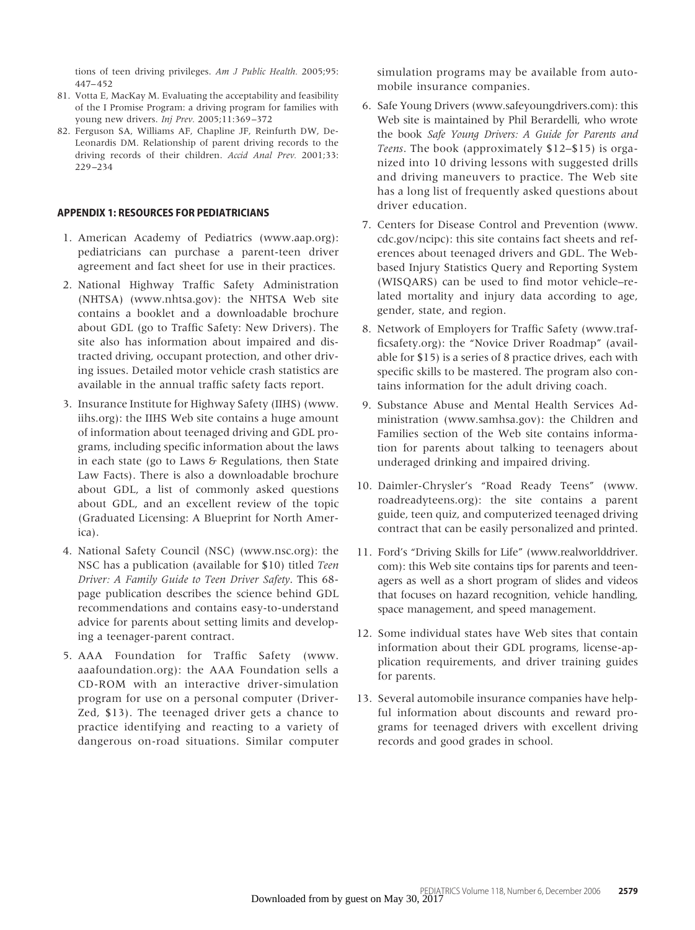tions of teen driving privileges. *Am J Public Health.* 2005;95: 447–452

- 81. Votta E, MacKay M. Evaluating the acceptability and feasibility of the I Promise Program: a driving program for families with young new drivers. *Inj Prev.* 2005;11:369–372
- 82. Ferguson SA, Williams AF, Chapline JF, Reinfurth DW, De-Leonardis DM. Relationship of parent driving records to the driving records of their children. *Accid Anal Prev.* 2001;33: 229–234

# **APPENDIX 1: RESOURCES FOR PEDIATRICIANS**

- 1. American Academy of Pediatrics (www.aap.org): pediatricians can purchase a parent-teen driver agreement and fact sheet for use in their practices.
- 2. National Highway Traffic Safety Administration (NHTSA) (www.nhtsa.gov): the NHTSA Web site contains a booklet and a downloadable brochure about GDL (go to Traffic Safety: New Drivers). The site also has information about impaired and distracted driving, occupant protection, and other driving issues. Detailed motor vehicle crash statistics are available in the annual traffic safety facts report.
- 3. Insurance Institute for Highway Safety (IIHS) (www. iihs.org): the IIHS Web site contains a huge amount of information about teenaged driving and GDL programs, including specific information about the laws in each state (go to Laws & Regulations, then State Law Facts). There is also a downloadable brochure about GDL, a list of commonly asked questions about GDL, and an excellent review of the topic (Graduated Licensing: A Blueprint for North America).
- 4. National Safety Council (NSC) (www.nsc.org): the NSC has a publication (available for \$10) titled *Teen Driver: A Family Guide to Teen Driver Safety*. This 68 page publication describes the science behind GDL recommendations and contains easy-to-understand advice for parents about setting limits and developing a teenager-parent contract.
- 5. AAA Foundation for Traffic Safety (www. aaafoundation.org): the AAA Foundation sells a CD-ROM with an interactive driver-simulation program for use on a personal computer (Driver-Zed, \$13). The teenaged driver gets a chance to practice identifying and reacting to a variety of dangerous on-road situations. Similar computer

simulation programs may be available from automobile insurance companies.

- 6. Safe Young Drivers (www.safeyoungdrivers.com): this Web site is maintained by Phil Berardelli, who wrote the book *Safe Young Drivers: A Guide for Parents and Teens*. The book (approximately \$12–\$15) is organized into 10 driving lessons with suggested drills and driving maneuvers to practice. The Web site has a long list of frequently asked questions about driver education.
- 7. Centers for Disease Control and Prevention (www. cdc.gov/ncipc): this site contains fact sheets and references about teenaged drivers and GDL. The Webbased Injury Statistics Query and Reporting System (WISQARS) can be used to find motor vehicle–related mortality and injury data according to age, gender, state, and region.
- 8. Network of Employers for Traffic Safety (www.trafficsafety.org): the "Novice Driver Roadmap" (available for \$15) is a series of 8 practice drives, each with specific skills to be mastered. The program also contains information for the adult driving coach.
- 9. Substance Abuse and Mental Health Services Administration (www.samhsa.gov): the Children and Families section of the Web site contains information for parents about talking to teenagers about underaged drinking and impaired driving.
- 10. Daimler-Chrysler's "Road Ready Teens" (www. roadreadyteens.org): the site contains a parent guide, teen quiz, and computerized teenaged driving contract that can be easily personalized and printed.
- 11. Ford's "Driving Skills for Life" (www.realworlddriver. com): this Web site contains tips for parents and teenagers as well as a short program of slides and videos that focuses on hazard recognition, vehicle handling, space management, and speed management.
- 12. Some individual states have Web sites that contain information about their GDL programs, license-application requirements, and driver training guides for parents.
- 13. Several automobile insurance companies have helpful information about discounts and reward programs for teenaged drivers with excellent driving records and good grades in school.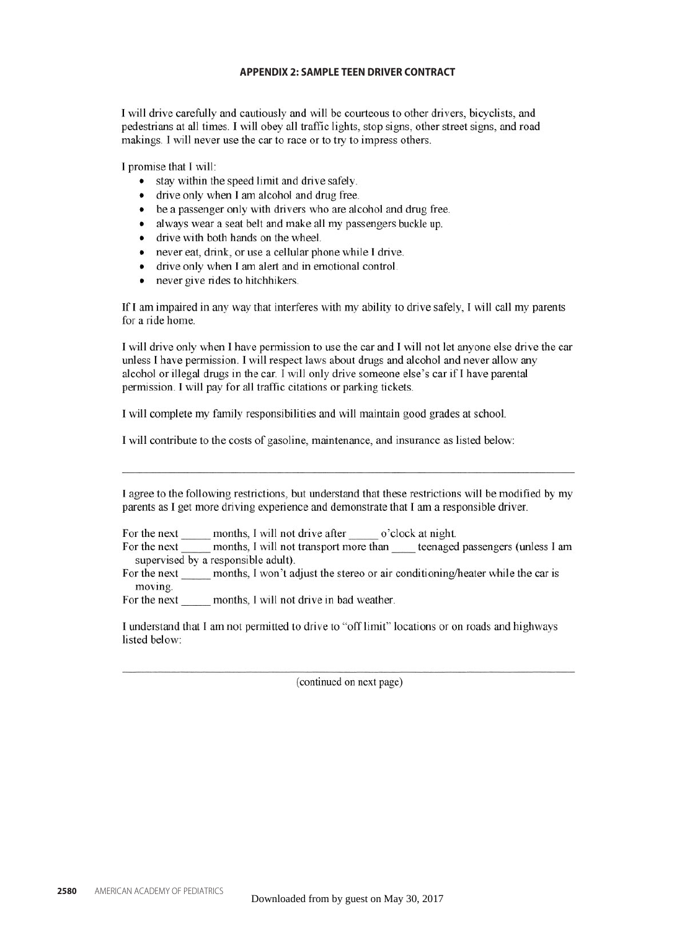# **APPENDIX 2: SAMPLE TEEN DRIVER CONTRACT**

I will drive carefully and cautiously and will be courteous to other drivers, bicyclists, and pedestrians at all times. I will obey all traffic lights, stop signs, other street signs, and road makings. I will never use the car to race or to try to impress others.

I promise that I will:

- stay within the speed limit and drive safely.
- drive only when I am alcohol and drug free.
- be a passenger only with drivers who are alcohol and drug free.
- always wear a seat belt and make all my passengers buckle up.
- drive with both hands on the wheel.
- never eat, drink, or use a cellular phone while I drive.
- $\bullet$ drive only when I am alert and in emotional control.
- $\bullet$ never give rides to hitchhikers.

If I am impaired in any way that interferes with my ability to drive safely. I will call my parents for a ride home.

I will drive only when I have permission to use the car and I will not let anyone else drive the car unless I have permission. I will respect laws about drugs and alcohol and never allow any alcohol or illegal drugs in the car. I will only drive someone else's car if I have parental permission. I will pay for all traffic citations or parking tickets.

I will complete my family responsibilities and will maintain good grades at school.

I will contribute to the costs of gasoline, maintenance, and insurance as listed below:

I agree to the following restrictions, but understand that these restrictions will be modified by my parents as I get more driving experience and demonstrate that I am a responsible driver.

For the next \_\_\_\_\_\_\_ months, I will not drive after \_\_\_\_\_\_\_\_ o'clock at night.

For the next \_\_\_\_\_\_ months, I will not transport more than \_\_\_\_\_ teenaged passengers (unless I am supervised by a responsible adult).

For the next months, I won't adjust the stereo or air conditioning/heater while the car is moving.

For the next months, I will not drive in bad weather.

I understand that I am not permitted to drive to "off limit" locations or on roads and highways listed below:

(continued on next page)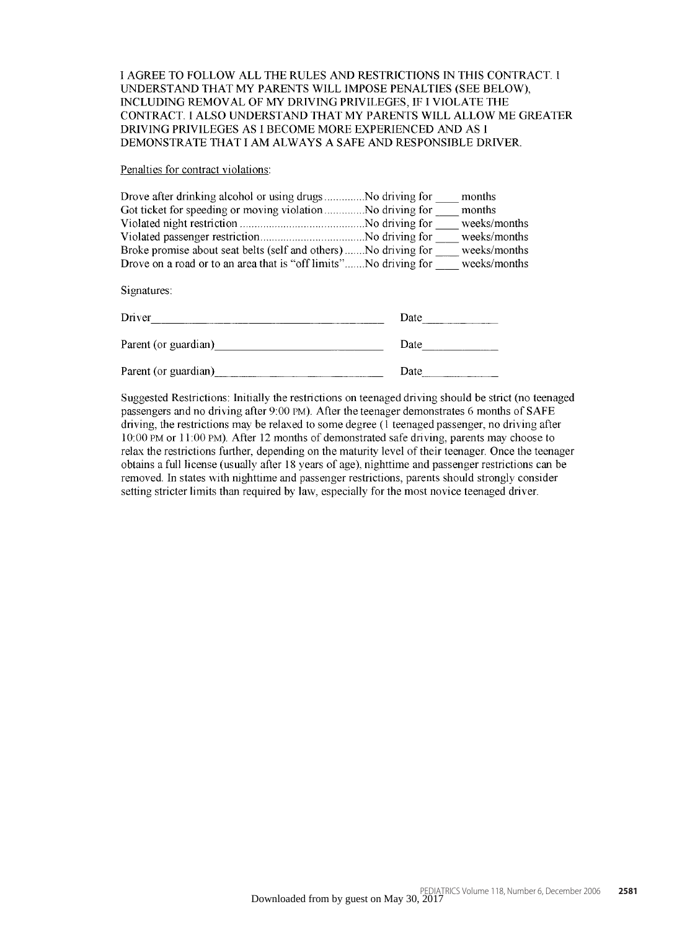I AGREE TO FOLLOW ALL THE RULES AND RESTRICTIONS IN THIS CONTRACT. I UNDERSTAND THAT MY PARENTS WILL IMPOSE PENALTIES (SEE BELOW), INCLUDING REMOVAL OF MY DRIVING PRIVILEGES, IF I VIOLATE THE CONTRACT. I ALSO UNDERSTAND THAT MY PARENTS WILL ALLOW ME GREATER DRIVING PRIVILEGES AS I BECOME MORE EXPERIENCED AND AS I DEMONSTRATE THAT I AM ALWAYS A SAFE AND RESPONSIBLE DRIVER.

Penalties for contract violations:

|                                                                  | months       |
|------------------------------------------------------------------|--------------|
|                                                                  | months       |
|                                                                  | weeks/months |
|                                                                  | weeks/months |
| Broke promise about seat belts (self and others) No driving for  | weeks/months |
| Drove on a road or to an area that is "off limits"No driving for | weeks/months |
|                                                                  |              |

Signatures:

| Driver               | Date |
|----------------------|------|
| Parent (or guardian) | Date |
| Parent (or guardian) | Date |

Suggested Restrictions: Initially the restrictions on teenaged driving should be strict (no teenaged passengers and no driving after 9:00 PM). After the teenager demonstrates 6 months of SAFE driving, the restrictions may be relaxed to some degree (1 teenaged passenger, no driving after 10:00 PM or 11:00 PM). After 12 months of demonstrated safe driving, parents may choose to relax the restrictions further, depending on the maturity level of their teenager. Once the teenager obtains a full license (usually after 18 years of age), nighttime and passenger restrictions can be removed. In states with nighttime and passenger restrictions, parents should strongly consider setting stricter limits than required by law, especially for the most novice teenaged driver.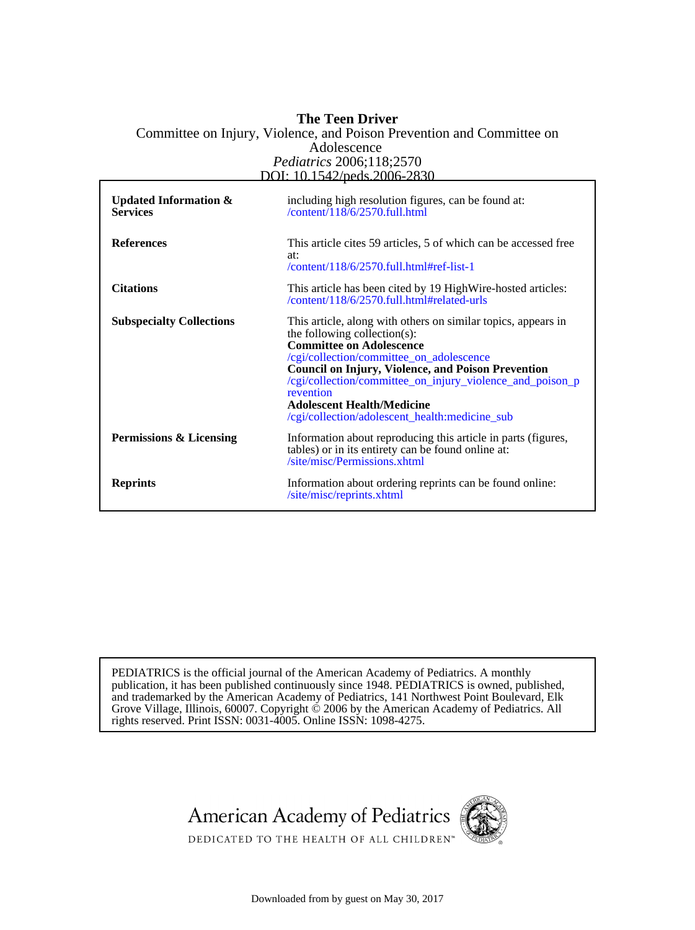# DOI: 10.1542/peds.2006-2830 *Pediatrics* 2006;118;2570 Adolescence Committee on Injury, Violence, and Poison Prevention and Committee on **The Teen Driver**

| <b>Updated Information &amp;</b><br><b>Services</b> | including high resolution figures, can be found at:<br>/content/118/6/2570.full.html                                                                                                                                                                                                                                                                                                                       |
|-----------------------------------------------------|------------------------------------------------------------------------------------------------------------------------------------------------------------------------------------------------------------------------------------------------------------------------------------------------------------------------------------------------------------------------------------------------------------|
| <b>References</b>                                   | This article cites 59 articles, 5 of which can be accessed free<br>at:<br>/content/118/6/2570.full.html#ref-list-1                                                                                                                                                                                                                                                                                         |
| <b>Citations</b>                                    | This article has been cited by 19 High Wire-hosted articles:<br>/content/118/6/2570.full.html#related-urls                                                                                                                                                                                                                                                                                                 |
| <b>Subspecialty Collections</b>                     | This article, along with others on similar topics, appears in<br>the following collection(s):<br><b>Committee on Adolescence</b><br>/cgi/collection/committee_on_adolescence<br><b>Council on Injury, Violence, and Poison Prevention</b><br>/cgi/collection/committee_on_injury_violence_and_poison_p<br>revention<br><b>Adolescent Health/Medicine</b><br>/cgi/collection/adolescent_health:medicine_sub |
| Permissions & Licensing                             | Information about reproducing this article in parts (figures,<br>tables) or in its entirety can be found online at:<br>/site/misc/Permissions.xhtml                                                                                                                                                                                                                                                        |
| <b>Reprints</b>                                     | Information about ordering reprints can be found online:<br>/site/misc/reprints.xhtml                                                                                                                                                                                                                                                                                                                      |

rights reserved. Print ISSN: 0031-4005. Online ISSN: 1098-4275. Grove Village, Illinois, 60007. Copyright  $\ddot{\odot}$  2006 by the American Academy of Pediatrics. All and trademarked by the American Academy of Pediatrics, 141 Northwest Point Boulevard, Elk publication, it has been published continuously since 1948. PEDIATRICS is owned, published, PEDIATRICS is the official journal of the American Academy of Pediatrics. A monthly





DEDICATED TO THE HEALTH OF ALL CHILDREN™